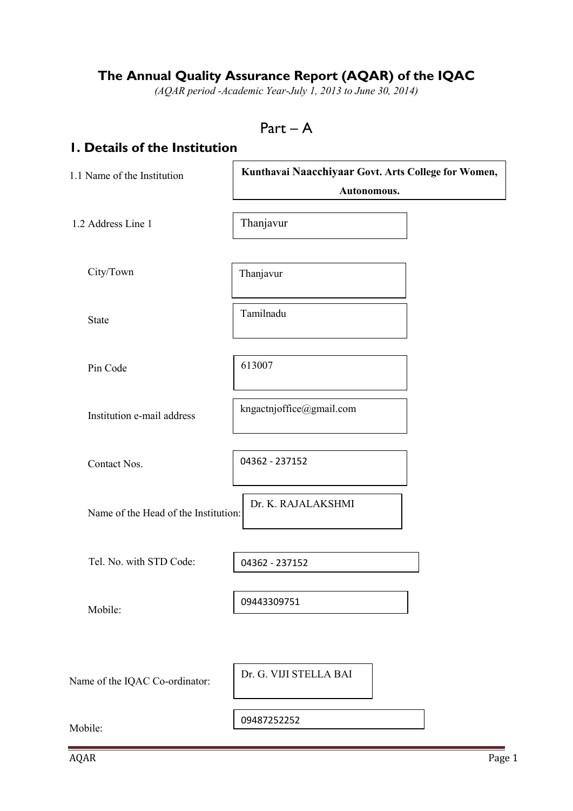## **The Annual Quality Assurance Report (AQAR) of the IQAC**

*(AQAR period -Academic Year-July 1, 2013 to June 30, 2014)*

```
Part – A
```
### **1. Details of the Institution**

| 1.1 Name of the Institution          | Kunthavai Naacchiyaar Govt. Arts College for Women,<br>Autonomous. |
|--------------------------------------|--------------------------------------------------------------------|
| 1.2 Address Line 1                   | Thanjavur                                                          |
| City/Town                            | Thanjavur                                                          |
| State                                | Tamilnadu                                                          |
| Pin Code                             | 613007                                                             |
| Institution e-mail address           | kngactnjoffice@gmail.com                                           |
| Contact Nos.                         | 04362 - 237152                                                     |
| Name of the Head of the Institution: | Dr. K. RAJALAKSHMI                                                 |
| Tel. No. with STD Code:              | 04362 - 237152                                                     |
| Mobile:                              | 09443309751                                                        |
| Name of the IQAC Co-ordinator:       | Dr. G. VIJI STELLA BAI                                             |
| Mobile:                              | 09487252252                                                        |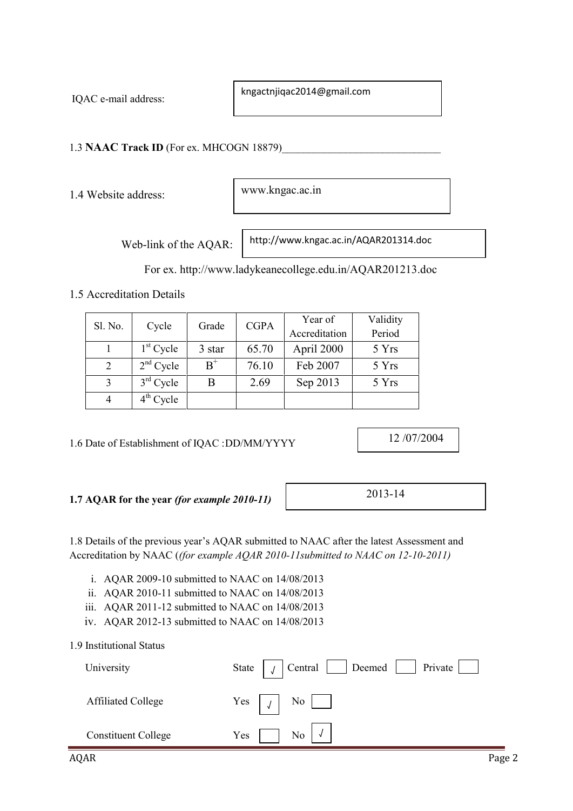IQAC e-mail address:

kngactnjiqac2014@gmail.com

1.3 **NAAC Track ID** (For ex. MHCOGN 18879)

1.4 Website address:

www.kngac.ac.in

Web-link of the AQAR:

http://www.kngac.ac.in/AQAR201314.doc

For ex. http://www.ladykeanecollege.edu.in/AQAR201213.doc

1.5 Accreditation Details

| Sl. No.        | Cycle       | Grade         | <b>CGPA</b> | Year of       | Validity |
|----------------|-------------|---------------|-------------|---------------|----------|
|                |             |               |             | Accreditation | Period   |
|                | $1st$ Cycle | 3 star        | 65.70       | April 2000    | 5 Yrs    |
| 2              | $2nd$ Cycle | $B^{\dagger}$ | 76.10       | Feb 2007      | 5 Yrs    |
| 3              | $3rd$ Cycle | B             | 2.69        | Sep 2013      | 5 Yrs    |
| $\overline{4}$ | $4th$ Cycle |               |             |               |          |

1.6 Date of Establishment of IQAC :DD/MM/YYYY

12 /07/2004

### **1.7 AQAR for the year** *(for example 2010-11)*

2013-14

1.8 Details of the previous year's AQAR submitted to NAAC after the latest Assessment and Accreditation by NAAC (*(for example AQAR 2010-11submitted to NAAC on 12-10-2011)*

i. AQAR 2009-10 submitted to NAAC on 14/08/2013

- ii. AQAR 2010-11 submitted to NAAC on 14/08/2013
- iii. AQAR 2011-12 submitted to NAAC on 14/08/2013
- iv. AQAR 2012-13 submitted to NAAC on 14/08/2013

#### 1.9 Institutional Status

| University                 | Private  <br>  Deemed<br>Central<br>State |
|----------------------------|-------------------------------------------|
| <b>Affiliated College</b>  | Yes $\vert \int \vert$ No $\vert$         |
| <b>Constituent College</b> | Yes<br>No                                 |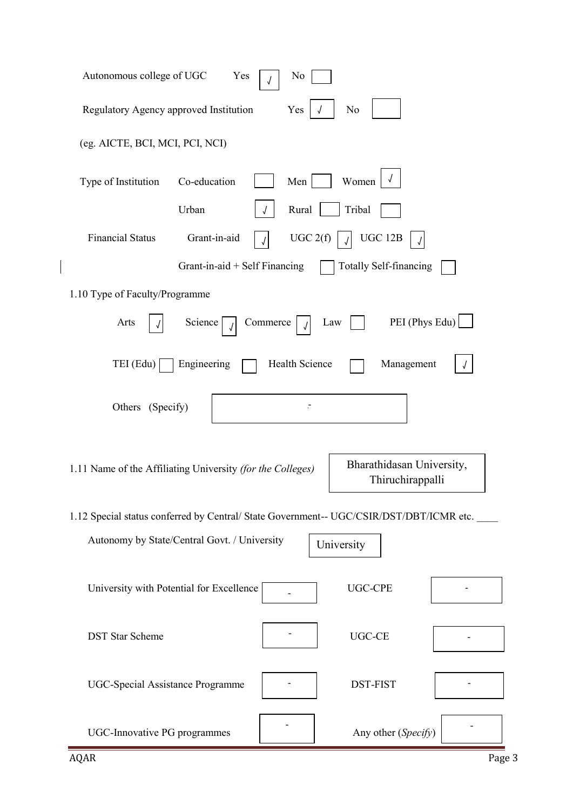| Autonomous college of UGC<br>Yes<br>N <sub>0</sub>                                                          |
|-------------------------------------------------------------------------------------------------------------|
| Regulatory Agency approved Institution<br>Yes<br>N <sub>0</sub>                                             |
| (eg. AICTE, BCI, MCI, PCI, NCI)                                                                             |
| Women<br>Co-education<br>Men<br>Type of Institution                                                         |
| Urban<br>Tribal<br>Rural                                                                                    |
| <b>Financial Status</b><br>Grant-in-aid<br>UGC 2(f)<br><b>UGC 12B</b>                                       |
| Grant-in-aid $+$ Self Financing<br><b>Totally Self-financing</b>                                            |
| 1.10 Type of Faculty/Programme                                                                              |
| PEI (Phys Edu)<br>Arts<br>Commerce<br>Law<br>Science                                                        |
| $TEI$ (Edu)<br>Engineering<br>Health Science<br>Management                                                  |
| Others (Specify)                                                                                            |
| Bharathidasan University,<br>1.11 Name of the Affiliating University (for the Colleges)<br>Thiruchirappalli |
| 1.12 Special status conferred by Central/ State Government-- UGC/CSIR/DST/DBT/ICMR etc.                     |
| Autonomy by State/Central Govt. / University<br>University                                                  |
| <b>UGC-CPE</b><br>University with Potential for Excellence                                                  |
| UGC-CE<br><b>DST</b> Star Scheme                                                                            |
| <b>UGC-Special Assistance Programme</b><br><b>DST-FIST</b>                                                  |
| Any other (Specify)<br>UGC-Innovative PG programmes                                                         |

 $\begin{array}{c} \hline \end{array}$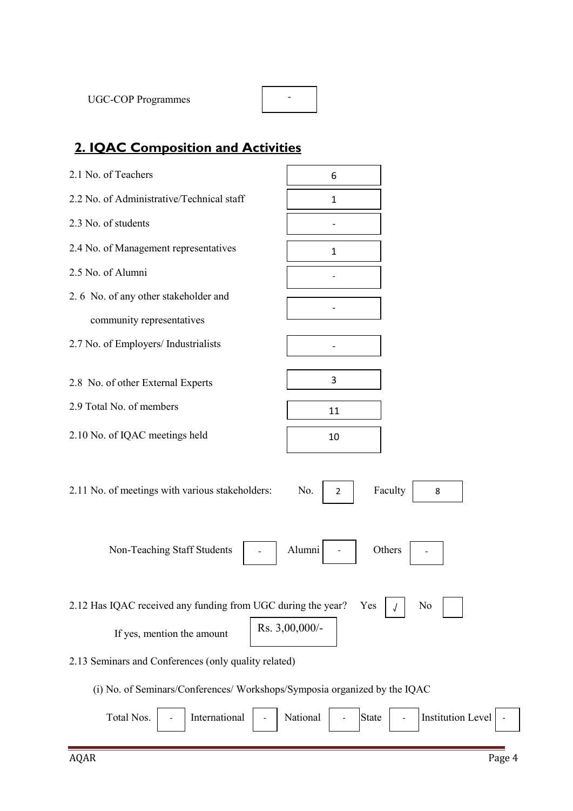| <b>UGC-COP Programmes</b> |  |  |
|---------------------------|--|--|
|---------------------------|--|--|

# **2. IQAC Composition and Activities**

| 2.1 No. of Teachers                                                                      | 6                                             |  |  |  |  |  |
|------------------------------------------------------------------------------------------|-----------------------------------------------|--|--|--|--|--|
| 2.2 No. of Administrative/Technical staff                                                | $\mathbf{1}$                                  |  |  |  |  |  |
| 2.3 No. of students                                                                      |                                               |  |  |  |  |  |
| 2.4 No. of Management representatives                                                    | $\mathbf{1}$                                  |  |  |  |  |  |
| 2.5 No. of Alumni                                                                        |                                               |  |  |  |  |  |
| 2.6 No. of any other stakeholder and                                                     |                                               |  |  |  |  |  |
| community representatives                                                                |                                               |  |  |  |  |  |
| 2.7 No. of Employers/ Industrialists                                                     |                                               |  |  |  |  |  |
|                                                                                          | 3                                             |  |  |  |  |  |
| 2.8 No. of other External Experts                                                        |                                               |  |  |  |  |  |
| 2.9 Total No. of members                                                                 | 11                                            |  |  |  |  |  |
| 2.10 No. of IQAC meetings held                                                           | 10                                            |  |  |  |  |  |
|                                                                                          |                                               |  |  |  |  |  |
| 2.11 No. of meetings with various stakeholders:<br>Faculty<br>No.<br>$\overline{2}$<br>8 |                                               |  |  |  |  |  |
|                                                                                          |                                               |  |  |  |  |  |
| Alumni<br>Non-Teaching Staff Students<br>Others                                          |                                               |  |  |  |  |  |
|                                                                                          |                                               |  |  |  |  |  |
|                                                                                          |                                               |  |  |  |  |  |
| 2.12 Has IQAC received any funding from UGC during the year?                             | No<br>Yes                                     |  |  |  |  |  |
| Rs. 3,00,000/-<br>If yes, mention the amount                                             |                                               |  |  |  |  |  |
| 2.13 Seminars and Conferences (only quality related)                                     |                                               |  |  |  |  |  |
| (i) No. of Seminars/Conferences/ Workshops/Symposia organized by the IQAC                |                                               |  |  |  |  |  |
| International<br>Total Nos.                                                              | <b>Institution Level</b><br>National<br>State |  |  |  |  |  |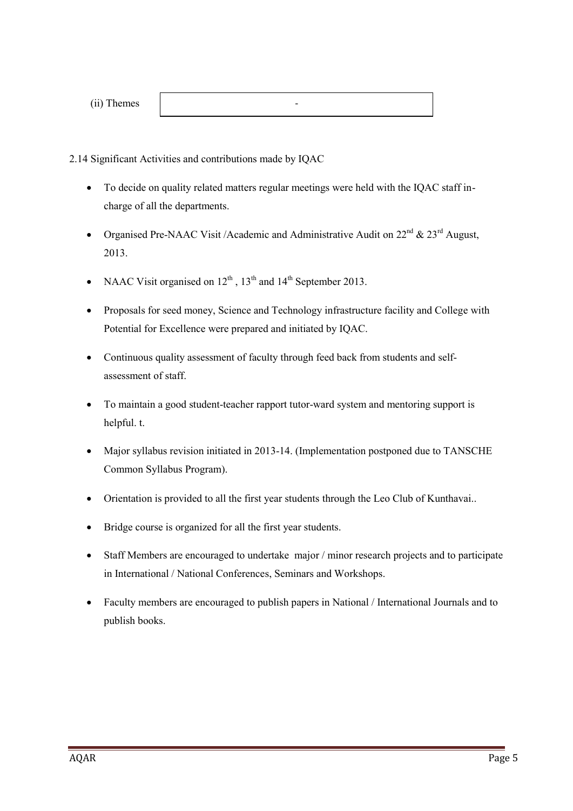| (ii) Themes |  |
|-------------|--|
|-------------|--|

2.14 Significant Activities and contributions made by IQAC

 To decide on quality related matters regular meetings were held with the IQAC staff in charge of all the departments.

-

- Organised Pre-NAAC Visit /Academic and Administrative Audit on  $22<sup>nd</sup>$  &  $23<sup>rd</sup>$  August, 2013.
- NAAC Visit organised on  $12^{th}$ ,  $13^{th}$  and  $14^{th}$  September 2013.
- Proposals for seed money, Science and Technology infrastructure facility and College with Potential for Excellence were prepared and initiated by IQAC.
- Continuous quality assessment of faculty through feed back from students and self assessment of staff.
- To maintain a good student-teacher rapport tutor-ward system and mentoring support is helpful. t.
- Major syllabus revision initiated in 2013-14. (Implementation postponed due to TANSCHE Common Syllabus Program).
- Orientation is provided to all the first year students through the Leo Club of Kunthavai..
- Bridge course is organized for all the first year students.
- Staff Members are encouraged to undertake major / minor research projects and to participate in International / National Conferences, Seminars and Workshops.
- Faculty members are encouraged to publish papers in National / International Journals and to publish books.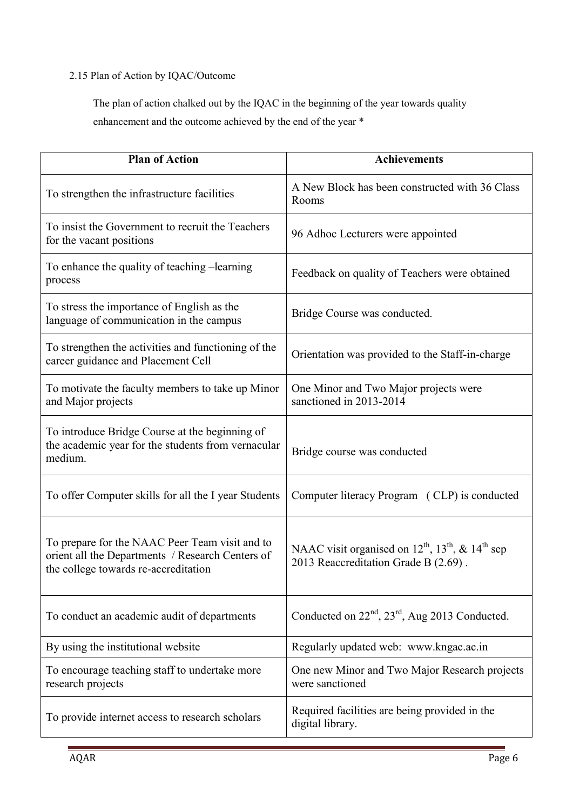### 2.15 Plan of Action by IQAC/Outcome

The plan of action chalked out by the IQAC in the beginning of the year towards quality enhancement and the outcome achieved by the end of the year \*

| <b>Plan of Action</b>                                                                                                                      | <b>Achievements</b>                                                                                     |
|--------------------------------------------------------------------------------------------------------------------------------------------|---------------------------------------------------------------------------------------------------------|
| To strengthen the infrastructure facilities                                                                                                | A New Block has been constructed with 36 Class<br>Rooms                                                 |
| To insist the Government to recruit the Teachers<br>for the vacant positions                                                               | 96 Adhoc Lecturers were appointed                                                                       |
| To enhance the quality of teaching -learning<br>process                                                                                    | Feedback on quality of Teachers were obtained                                                           |
| To stress the importance of English as the<br>language of communication in the campus                                                      | Bridge Course was conducted.                                                                            |
| To strengthen the activities and functioning of the<br>career guidance and Placement Cell                                                  | Orientation was provided to the Staff-in-charge                                                         |
| To motivate the faculty members to take up Minor<br>and Major projects                                                                     | One Minor and Two Major projects were<br>sanctioned in 2013-2014                                        |
| To introduce Bridge Course at the beginning of<br>the academic year for the students from vernacular<br>medium.                            | Bridge course was conducted                                                                             |
| To offer Computer skills for all the I year Students                                                                                       | Computer literacy Program (CLP) is conducted                                                            |
| To prepare for the NAAC Peer Team visit and to<br>orient all the Departments / Research Centers of<br>the college towards re-accreditation | NAAC visit organised on $12^{th}$ , $13^{th}$ , & $14^{th}$ sep<br>2013 Reaccreditation Grade B (2.69). |
| To conduct an academic audit of departments                                                                                                | Conducted on $22nd$ , $23rd$ , Aug 2013 Conducted.                                                      |
| By using the institutional website                                                                                                         | Regularly updated web: www.kngac.ac.in                                                                  |
| To encourage teaching staff to undertake more<br>research projects                                                                         | One new Minor and Two Major Research projects<br>were sanctioned                                        |
| To provide internet access to research scholars                                                                                            | Required facilities are being provided in the<br>digital library.                                       |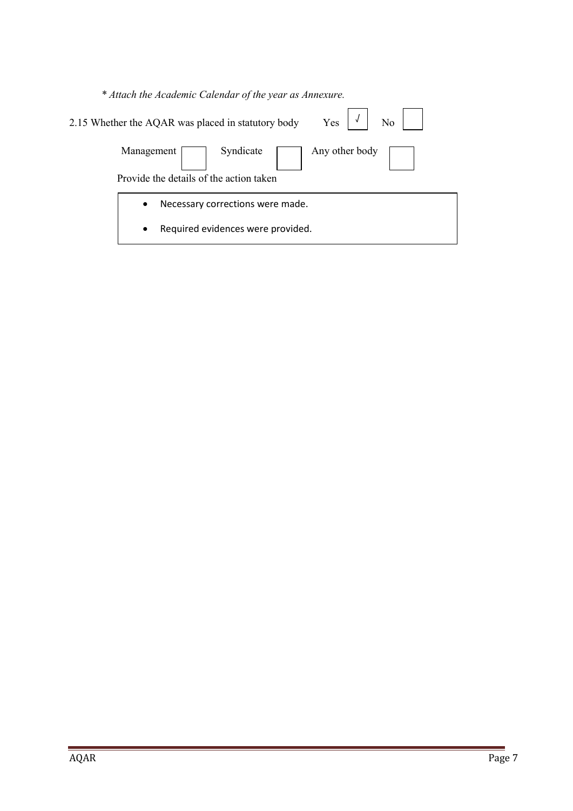| * Attach the Academic Calendar of the year as Annexure.                                |  |
|----------------------------------------------------------------------------------------|--|
| $\overline{N_0}$<br>Yes<br>2.15 Whether the AQAR was placed in statutory body          |  |
| Syndicate 1<br>Any other body<br>Management<br>Provide the details of the action taken |  |
| Necessary corrections were made.<br>$\bullet$                                          |  |
| Required evidences were provided.<br>$\bullet$                                         |  |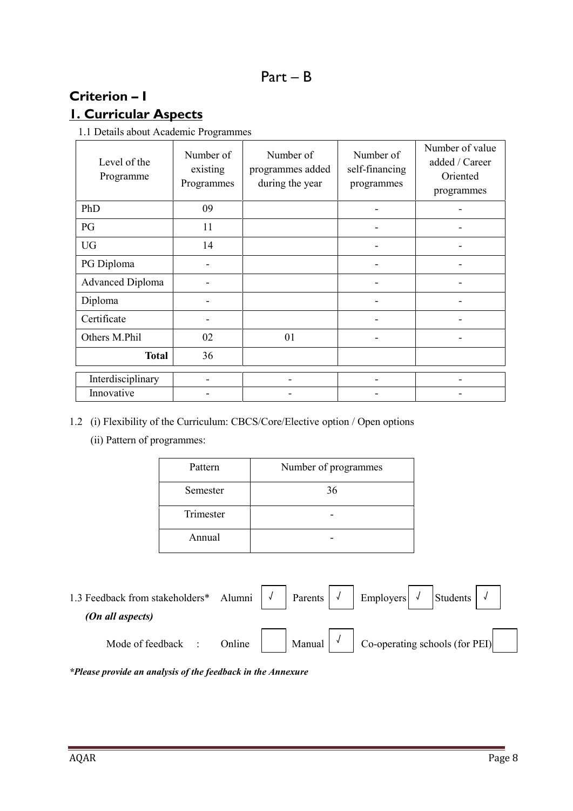## **Criterion – I 1. Curricular Aspects**

1.1 Details about Academic Programmes

| Level of the<br>Programme | Number of<br>existing<br>Programmes | Number of<br>programmes added<br>during the year | Number of<br>self-financing<br>programmes | Number of value<br>added / Career<br>Oriented<br>programmes |
|---------------------------|-------------------------------------|--------------------------------------------------|-------------------------------------------|-------------------------------------------------------------|
| PhD                       | 09                                  |                                                  |                                           |                                                             |
| PG                        | 11                                  |                                                  |                                           |                                                             |
| <b>UG</b>                 | 14                                  |                                                  |                                           |                                                             |
| PG Diploma                |                                     |                                                  |                                           |                                                             |
| <b>Advanced Diploma</b>   |                                     |                                                  |                                           |                                                             |
| Diploma                   |                                     |                                                  |                                           |                                                             |
| Certificate               |                                     |                                                  |                                           |                                                             |
| Others M.Phil             | 02                                  | 01                                               |                                           |                                                             |
| <b>Total</b>              | 36                                  |                                                  |                                           |                                                             |
| Interdisciplinary         |                                     |                                                  |                                           |                                                             |
| Innovative                |                                     |                                                  |                                           |                                                             |

- 1.2 (i) Flexibility of the Curriculum: CBCS/Core/Elective option / Open options
	- (ii) Pattern of programmes:

| Pattern   | Number of programmes |
|-----------|----------------------|
| Semester  | 36                   |
| Trimester |                      |
| Annual    |                      |

| 1.3 Feedback from stakeholders* Alumni $\sqrt{ }$ |        | $\vert$ Parents $\vert \sqrt{\vert}$ | Employers $\sqrt{\ }$          | Students |  |
|---------------------------------------------------|--------|--------------------------------------|--------------------------------|----------|--|
| (On all aspects)                                  |        |                                      |                                |          |  |
| Mode of feedback                                  | Online | Manual $\sqrt{\ }$                   | Co-operating schools (for PEI) |          |  |

*\*Please provide an analysis of the feedback in the Annexure*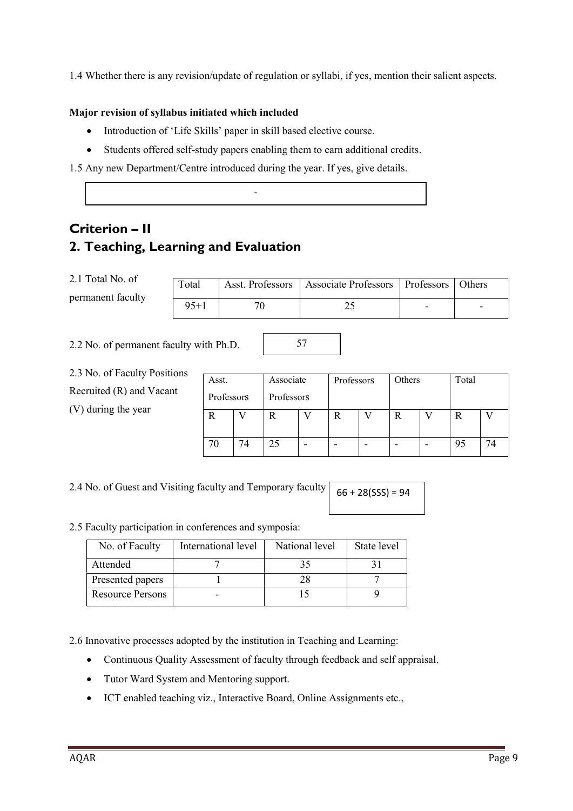1.4 Whether there is any revision/update of regulation or syllabi, if yes, mention their salient aspects.

#### **Major revision of syllabus initiated which included**

- Introduction of 'Life Skills' paper in skill based elective course.
- Students offered self-study papers enabling them to earn additional credits.

-

1.5 Any new Department/Centre introduced during the year. If yes, give details.

## **Criterion – II 2. Teaching, Learning and Evaluation**

2.1 Total No. of permanent faculty

| Total | Asst. Professors   Associate Professors   Professors   Others |                          |
|-------|---------------------------------------------------------------|--------------------------|
| 95+1  |                                                               | $\overline{\phantom{0}}$ |

57

2.2 No. of permanent faculty with Ph.D.

2.3 No. of Faculty Positions Recruited (R) and Vacant (V) during the year

| Asst.      |    | Associate  |   | Professors |   | Others | Total |    |
|------------|----|------------|---|------------|---|--------|-------|----|
| Professors |    | Professors |   |            |   |        |       |    |
| R          |    | л          |   | R          |   | R      | R     |    |
| 70         | 74 | 25         | - | -          | - | -      | 95    | 74 |

SSS

2.4 No. of Guest and Visiting faculty and Temporary faculty  $66 + 28(SSS) = 94$ 

#### 2.5 Faculty participation in conferences and symposia:

| No. of Faculty          | International level | National level | State level |
|-------------------------|---------------------|----------------|-------------|
| Attended                |                     |                |             |
| Presented papers        |                     |                |             |
| <b>Resource Persons</b> |                     |                |             |

2.6 Innovative processes adopted by the institution in Teaching and Learning:

- Continuous Quality Assessment of faculty through feedback and self appraisal.
- Tutor Ward System and Mentoring support.
- ICT enabled teaching viz., Interactive Board, Online Assignments etc.,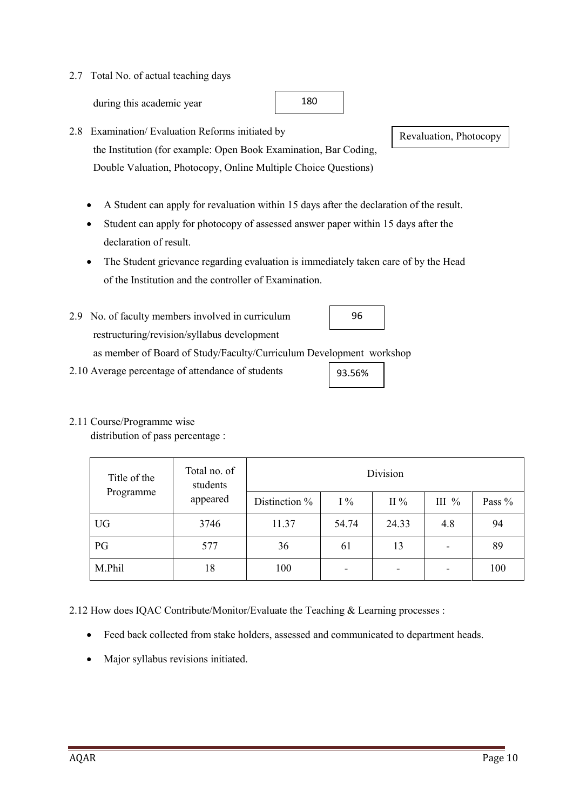### 2.7 Total No. of actual teaching days

during this academic year

- 2.8 Examination/ Evaluation Reforms initiated by the Institution (for example: Open Book Examination, Bar Coding, Double Valuation, Photocopy, Online Multiple Choice Questions)
	- A Student can apply for revaluation within 15 days after the declaration of the result.
	- Student can apply for photocopy of assessed answer paper within 15 days after the declaration of result.
	- The Student grievance regarding evaluation is immediately taken care of by the Head of the Institution and the controller of Examination.
- 2.9 No. of faculty members involved in curriculum restructuring/revision/syllabus development as member of Board of Study/Faculty/Curriculum Development workshop 96
- 2.10 Average percentage of attendance of students

### 2.11 Course/Programme wise

distribution of pass percentage :

| Title of the | Total no. of<br>students |               | Division |         |         |        |
|--------------|--------------------------|---------------|----------|---------|---------|--------|
| Programme    | appeared                 | Distinction % | $1\%$    | II $\%$ | III $%$ | Pass % |
| <b>UG</b>    | 3746                     | 11.37         | 54.74    | 24.33   | 4.8     | 94     |
| PG           | 577                      | 36            | 61       | 13      | -       | 89     |
| M.Phil       | 18                       | 100           | -        | ۰       |         | 100    |

2.12 How does IQAC Contribute/Monitor/Evaluate the Teaching & Learning processes :

- Feed back collected from stake holders, assessed and communicated to department heads.
- Major syllabus revisions initiated.

Revaluation, Photocopy

93.56%

180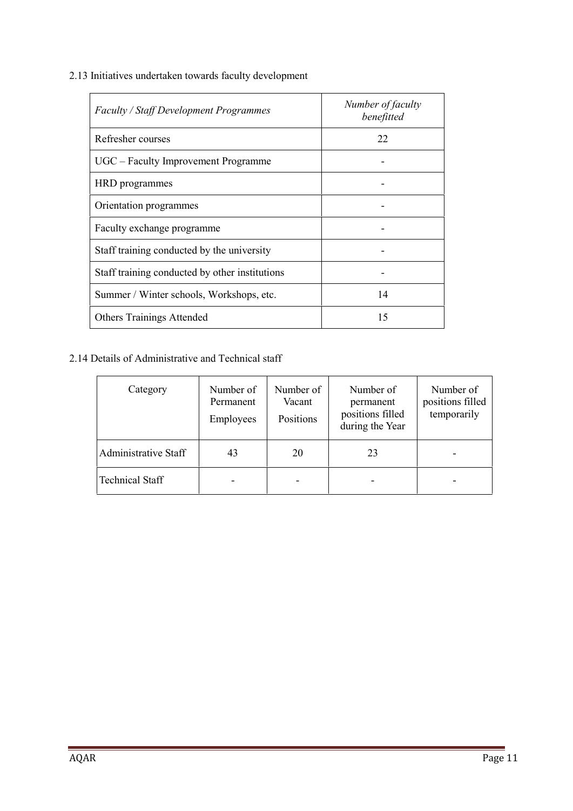2.13 Initiatives undertaken towards faculty development

| <b>Faculty / Staff Development Programmes</b>  | Number of faculty<br>benefitted |
|------------------------------------------------|---------------------------------|
| Refresher courses                              | 22                              |
| UGC - Faculty Improvement Programme            |                                 |
| HRD programmes                                 |                                 |
| Orientation programmes                         |                                 |
| Faculty exchange programme                     |                                 |
| Staff training conducted by the university     |                                 |
| Staff training conducted by other institutions |                                 |
| Summer / Winter schools, Workshops, etc.       | 14                              |
| <b>Others Trainings Attended</b>               | 15                              |

### 2.14 Details of Administrative and Technical staff

| Category               | Number of<br>Permanent<br>Employees | Number of<br>Vacant<br>Positions | Number of<br>permanent<br>positions filled<br>during the Year | Number of<br>positions filled<br>temporarily |
|------------------------|-------------------------------------|----------------------------------|---------------------------------------------------------------|----------------------------------------------|
| Administrative Staff   | 43                                  | 20                               | 23                                                            |                                              |
| <b>Technical Staff</b> |                                     |                                  |                                                               |                                              |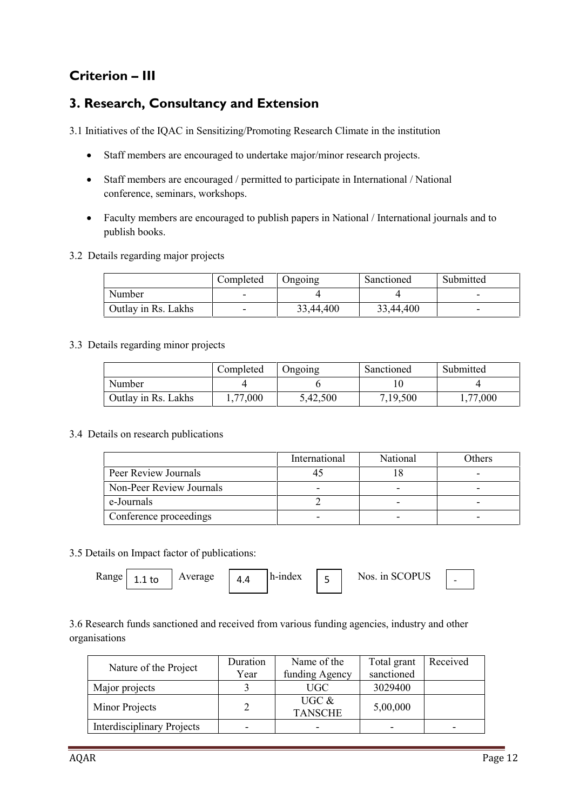## **Criterion – III**

## **3. Research, Consultancy and Extension**

3.1 Initiatives of the IQAC in Sensitizing/Promoting Research Climate in the institution

- Staff members are encouraged to undertake major/minor research projects.
- Staff members are encouraged / permitted to participate in International / National conference, seminars, workshops.
- Faculty members are encouraged to publish papers in National / International journals and to publish books.
- 3.2 Details regarding major projects

|                     | Completed | Ongoing   | Sanctioned | Submitted |
|---------------------|-----------|-----------|------------|-----------|
| Number              | -         |           |            |           |
| Outlay in Rs. Lakhs | -         | 33,44,400 | 33,44,400  |           |

#### 3.3 Details regarding minor projects

|                     | Completed | Jngoing  | Sanctioned | Submitted |
|---------------------|-----------|----------|------------|-----------|
| Number              |           |          |            |           |
| Outlay in Rs. Lakhs | .77,000   | 5,42,500 | 7,19,500   | ,77,000   |

3.4 Details on research publications

|                          | International | National | Others |
|--------------------------|---------------|----------|--------|
| Peer Review Journals     |               |          |        |
| Non-Peer Review Journals |               |          |        |
| e-Journals               |               |          |        |
| Conference proceedings   | -             |          |        |

3.5 Details on Impact factor of publications:

| Range  <br>Average<br>$1.1$ to | Λ<br>ட ப | h-index |  | Nos. in SCOPUS |  |  |
|--------------------------------|----------|---------|--|----------------|--|--|
|--------------------------------|----------|---------|--|----------------|--|--|

3.6 Research funds sanctioned and received from various funding agencies, industry and other organisations

| Nature of the Project             | Duration                 | Name of the                | Total grant | Received                 |
|-----------------------------------|--------------------------|----------------------------|-------------|--------------------------|
|                                   | Year                     | funding Agency             | sanctioned  |                          |
| Major projects                    |                          | <b>UGC</b>                 | 3029400     |                          |
| Minor Projects                    | 2                        | UGC $\&$<br><b>TANSCHE</b> | 5,00,000    |                          |
| <b>Interdisciplinary Projects</b> | $\overline{\phantom{0}}$ | -                          | ۰           | $\overline{\phantom{0}}$ |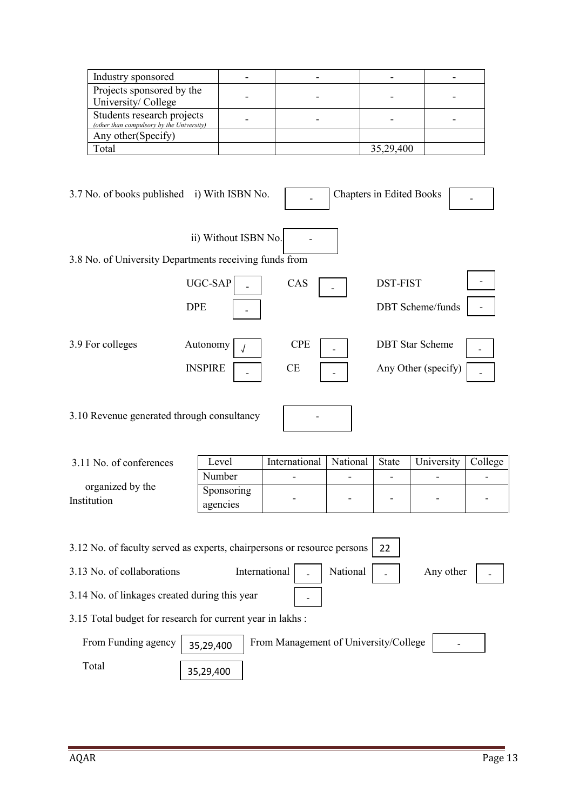| Industry sponsored                                                      |  |           |  |
|-------------------------------------------------------------------------|--|-----------|--|
| Projects sponsored by the<br>University/College                         |  |           |  |
| Students research projects<br>(other than compulsory by the University) |  |           |  |
| Any other (Specify)                                                     |  |           |  |
| Total                                                                   |  | 35,29,400 |  |

| 3.7 No. of books published i) With ISBN No.            |                      |            | <b>Chapters in Edited Books</b> |  |
|--------------------------------------------------------|----------------------|------------|---------------------------------|--|
| 3.8 No. of University Departments receiving funds from | ii) Without ISBN No. |            |                                 |  |
|                                                        |                      |            |                                 |  |
|                                                        | UGC-SAP              | CAS        | <b>DST-FIST</b>                 |  |
|                                                        | <b>DPE</b>           |            | <b>DBT</b> Scheme/funds         |  |
| 3.9 For colleges                                       | Autonomy             | <b>CPE</b> | <b>DBT</b> Star Scheme          |  |
|                                                        | <b>INSPIRE</b>       | <b>CE</b>  | Any Other (specify)             |  |
| 3.10 Revenue generated through consultancy             |                      |            |                                 |  |

| 3.11 No. of conferences         | Level                  | International | National | <b>State</b>             | University               | College |
|---------------------------------|------------------------|---------------|----------|--------------------------|--------------------------|---------|
|                                 | Number                 |               |          | -                        |                          |         |
| organized by the<br>Institution | Sponsoring<br>agencies | -             | -        | $\overline{\phantom{0}}$ | $\overline{\phantom{0}}$ | $\sim$  |

|                                               | 3.12 No. of faculty served as experts, chairpersons or resource persons<br>22 |  |
|-----------------------------------------------|-------------------------------------------------------------------------------|--|
| 3.13 No. of collaborations                    | International<br>National<br>Any other                                        |  |
| 3.14 No. of linkages created during this year |                                                                               |  |
|                                               | 3.15 Total budget for research for current year in lakhs :                    |  |
| From Funding agency                           | From Management of University/College<br>35,29,400                            |  |
| Total                                         | 35,29,400                                                                     |  |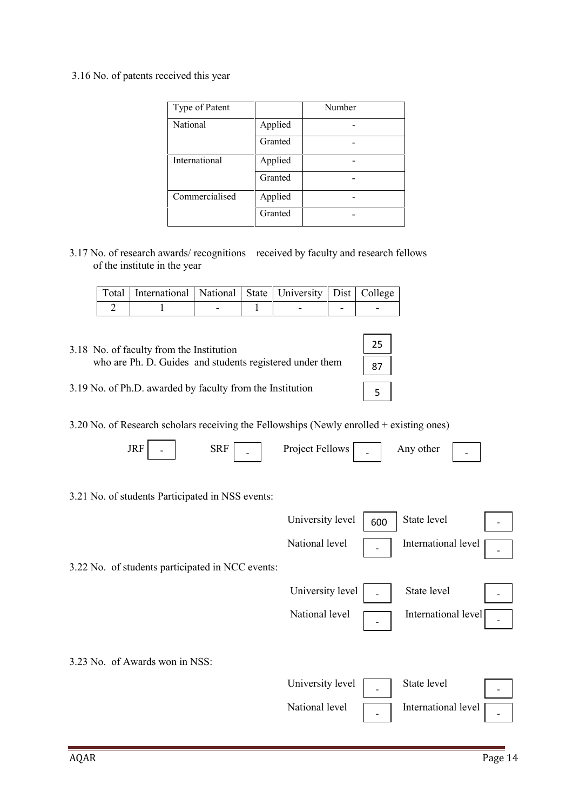#### 3.16 No. of patents received this year

| Type of Patent |         | Number |
|----------------|---------|--------|
| National       | Applied |        |
|                | Granted |        |
| International  | Applied |        |
|                | Granted |        |
| Commercialised | Applied |        |
|                | Granted |        |

3.17 No. of research awards/ recognitions received by faculty and research fellows of the institute in the year

| Total   International   National   State   University   Dist   College |  |   |  |
|------------------------------------------------------------------------|--|---|--|
|                                                                        |  | - |  |

| 3.18 No. of faculty from the Institution                  |                 |  |
|-----------------------------------------------------------|-----------------|--|
| who are Ph. D. Guides and students registered under them  | 87              |  |
| 3.19 No. of Ph.D. awarded by faculty from the Institution | $5\overline{5}$ |  |

3.20 No. of Research scholars receiving the Fellowships (Newly enrolled + existing ones)

|  | JRI<br>- | $\overline{\phantom{0}}$ | Project Fellows | $\overline{\phantom{0}}$ | Anv other | - |  |
|--|----------|--------------------------|-----------------|--------------------------|-----------|---|--|
|--|----------|--------------------------|-----------------|--------------------------|-----------|---|--|

3.21 No. of students Participated in NSS events:

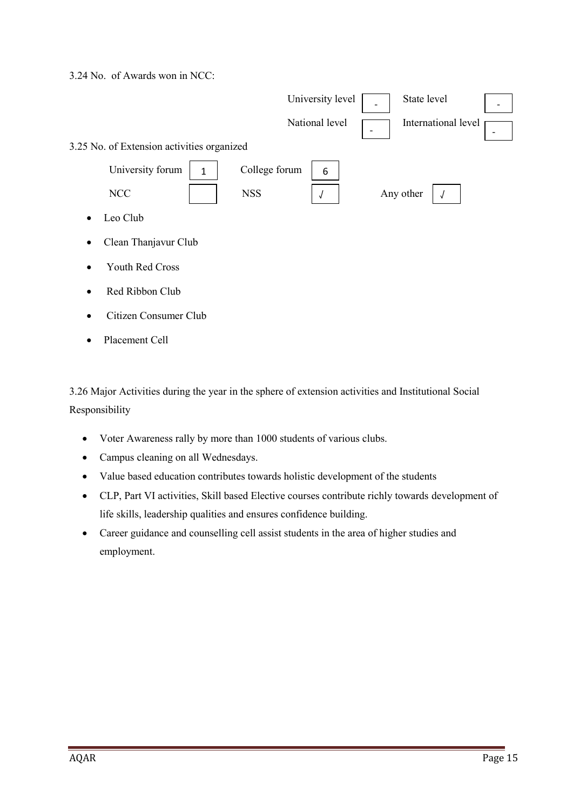3.24 No. of Awards won in NCC:



• Placement Cell

3.26 Major Activities during the year in the sphere of extension activities and Institutional Social Responsibility

- Voter Awareness rally by more than 1000 students of various clubs.
- Campus cleaning on all Wednesdays.
- Value based education contributes towards holistic development of the students
- CLP, Part VI activities, Skill based Elective courses contribute richly towards development of life skills, leadership qualities and ensures confidence building.
- Career guidance and counselling cell assist students in the area of higher studies and employment.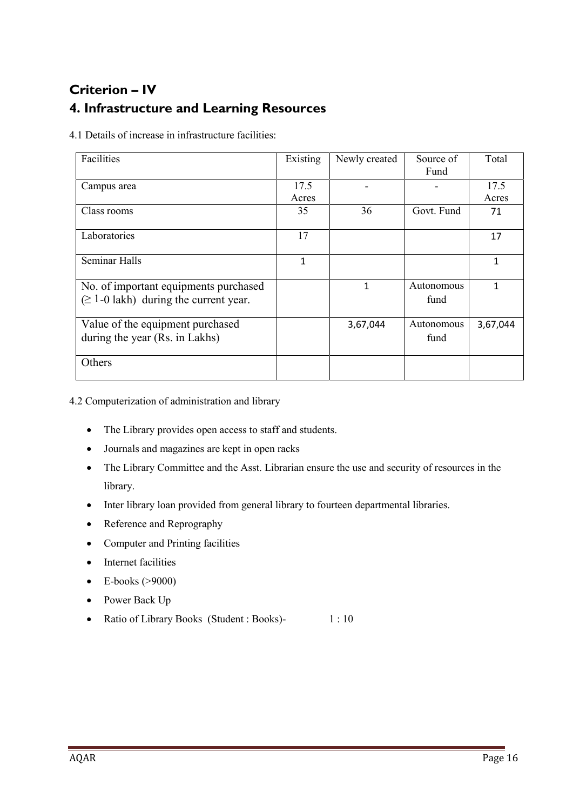## **Criterion – IV 4. Infrastructure and Learning Resources**

4.1 Details of increase in infrastructure facilities:

| Facilities                                                                          | Existing      | Newly created | Source of<br>Fund  | Total         |
|-------------------------------------------------------------------------------------|---------------|---------------|--------------------|---------------|
| Campus area                                                                         | 17.5<br>Acres |               |                    | 17.5<br>Acres |
| Class rooms                                                                         | 35            | 36            | Govt. Fund         | 71            |
| Laboratories                                                                        | 17            |               |                    | 17            |
| Seminar Halls                                                                       | 1             |               |                    | $\mathbf{1}$  |
| No. of important equipments purchased<br>$\geq 1$ -0 lakh) during the current year. |               | 1             | Autonomous<br>fund | $\mathbf{1}$  |
| Value of the equipment purchased<br>during the year (Rs. in Lakhs)                  |               | 3,67,044      | Autonomous<br>fund | 3,67,044      |
| Others                                                                              |               |               |                    |               |

4.2 Computerization of administration and library

- The Library provides open access to staff and students.
- Journals and magazines are kept in open racks
- The Library Committee and the Asst. Librarian ensure the use and security of resources in the library.
- Inter library loan provided from general library to fourteen departmental libraries.
- Reference and Reprography
- Computer and Printing facilities
- Internet facilities
- $\bullet$  E-books (>9000)
- Power Back Up
- Ratio of Library Books (Student : Books)- 1 : 10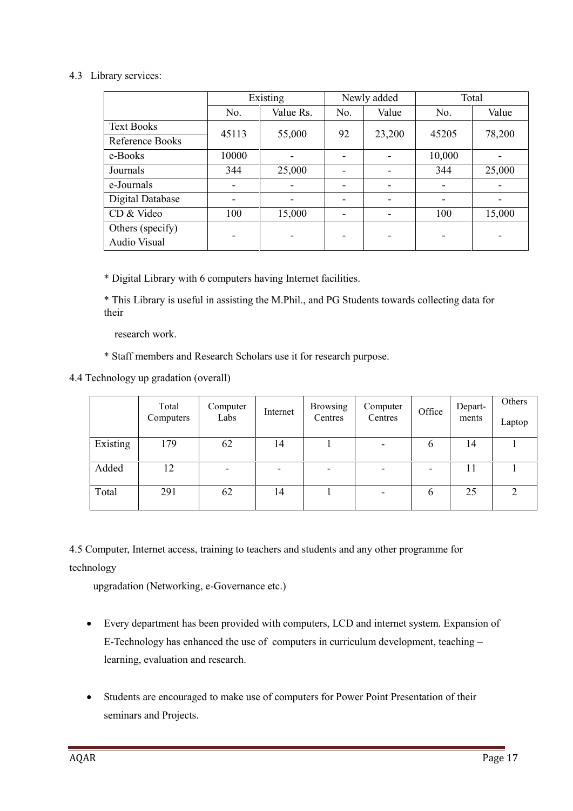#### 4.3 Library services:

|                         | Existing                 |           | Newly added |                          | Total                    |        |
|-------------------------|--------------------------|-----------|-------------|--------------------------|--------------------------|--------|
|                         | No.                      | Value Rs. | No.         | Value                    | No.                      | Value  |
| <b>Text Books</b>       | 45113                    | 55,000    | 92          | 23,200                   | 45205                    | 78,200 |
| Reference Books         |                          |           |             |                          |                          |        |
| e-Books                 | 10000                    |           |             |                          | 10,000                   |        |
| Journals                | 344                      | 25,000    |             | $\overline{\phantom{0}}$ | 344                      | 25,000 |
| e-Journals              | $\overline{\phantom{0}}$ | -         |             | $\overline{\phantom{0}}$ | $\overline{\phantom{0}}$ |        |
| <b>Digital Database</b> | -                        |           |             | $\overline{\phantom{0}}$ | $\overline{\phantom{0}}$ |        |
| CD & Video              | 100                      | 15,000    |             |                          | 100                      | 15,000 |
| Others (specify)        |                          |           |             |                          |                          |        |
| Audio Visual            |                          |           |             |                          |                          |        |

\* Digital Library with 6 computers having Internet facilities.

\* This Library is useful in assisting the M.Phil., and PG Students towards collecting data for their

research work.

\* Staff members and Research Scholars use it for research purpose.

4.4 Technology up gradation (overall)

|          | Total<br>Computers | Computer<br>Labs | Internet | <b>Browsing</b><br>Centres | Computer<br>Centres      | Office | Depart-<br>ments | Others<br>Laptop |
|----------|--------------------|------------------|----------|----------------------------|--------------------------|--------|------------------|------------------|
| Existing | 179                | 62               | 14       |                            | $\overline{\phantom{a}}$ | 6      | 14               |                  |
| Added    | 12                 |                  |          |                            | $\overline{\phantom{a}}$ |        | 11               |                  |
| Total    | 291                | 62               | 14       |                            | $\overline{\phantom{a}}$ | 6      | 25               | າ                |

4.5 Computer, Internet access, training to teachers and students and any other programme for technology

upgradation (Networking, e-Governance etc.)

- Every department has been provided with computers, LCD and internet system. Expansion of E-Technology has enhanced the use of computers in curriculum development, teaching – learning, evaluation and research.
- Students are encouraged to make use of computers for Power Point Presentation of their seminars and Projects.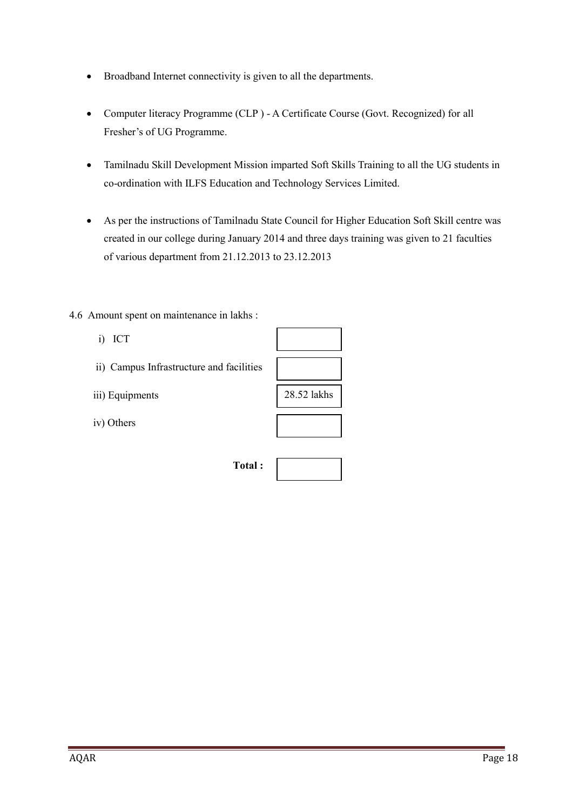- Broadband Internet connectivity is given to all the departments.
- Computer literacy Programme (CLP ) A Certificate Course (Govt. Recognized) for all Fresher's of UG Programme.
- Tamilnadu Skill Development Mission imparted Soft Skills Training to all the UG students in co-ordination with ILFS Education and Technology Services Limited.
- As per the instructions of Tamilnadu State Council for Higher Education Soft Skill centre was created in our college during January 2014 and three days training was given to 21 faculties of various department from 21.12.2013 to 23.12.2013
- 4.6 Amount spent on maintenance in lakhs :
	- i) ICT
	- ii) Campus Infrastructure and facilities
	- iii) Equipments
	- iv) Others

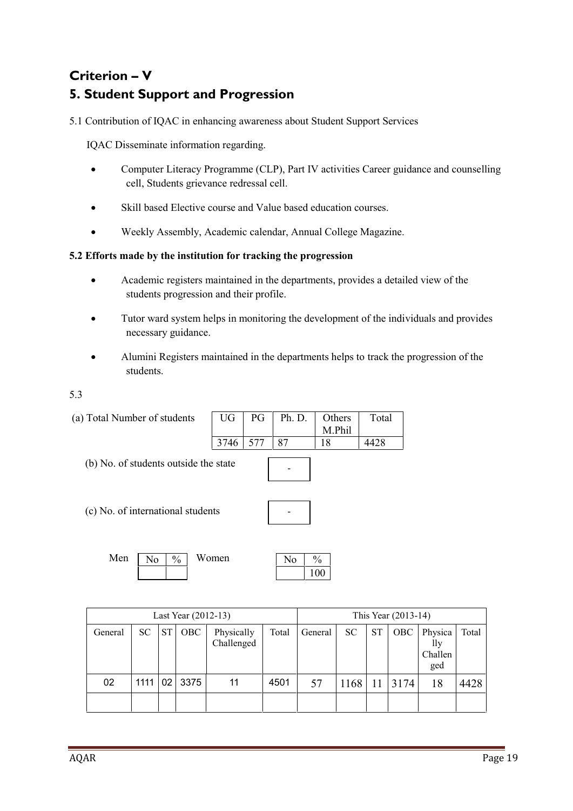## **Criterion – V 5. Student Support and Progression**

5.1 Contribution of IQAC in enhancing awareness about Student Support Services

IQAC Disseminate information regarding.

- Computer Literacy Programme (CLP), Part IV activities Career guidance and counselling cell, Students grievance redressal cell.
- Skill based Elective course and Value based education courses.
- Weekly Assembly, Academic calendar, Annual College Magazine.

#### **5.2 Efforts made by the institution for tracking the progression**

- Academic registers maintained in the departments, provides a detailed view of the students progression and their profile.
- Tutor ward system helps in monitoring the development of the individuals and provides necessary guidance.
- Alumini Registers maintained in the departments helps to track the progression of the students.

5.3

| (a) Total Number of students          | UG    | PG  | Ph. D.         | Others<br>M.Phil     | Total |
|---------------------------------------|-------|-----|----------------|----------------------|-------|
|                                       | 3746  | 577 | 87             | 18                   | 4428  |
| (b) No. of students outside the state |       |     |                |                      |       |
| (c) No. of international students     |       |     |                |                      |       |
| Men<br>$\frac{0}{0}$<br>No            | Women |     | N <sub>0</sub> | $\frac{0}{0}$<br>100 |       |
|                                       |       |     |                |                      |       |

| Last Year (2012-13) |      |           |      | This Year (2013-14)      |       |         |      |           |            |                                  |       |
|---------------------|------|-----------|------|--------------------------|-------|---------|------|-----------|------------|----------------------------------|-------|
| General             | SC   | <b>ST</b> | OBC  | Physically<br>Challenged | Total | General | SC   | <b>ST</b> | <b>OBC</b> | Physica<br>lly<br>Challen<br>ged | Total |
| 02                  | 1111 | 02        | 3375 | 11                       | 4501  | 57      | 1168 | 11        | 3174       | 18                               | 4428  |
|                     |      |           |      |                          |       |         |      |           |            |                                  |       |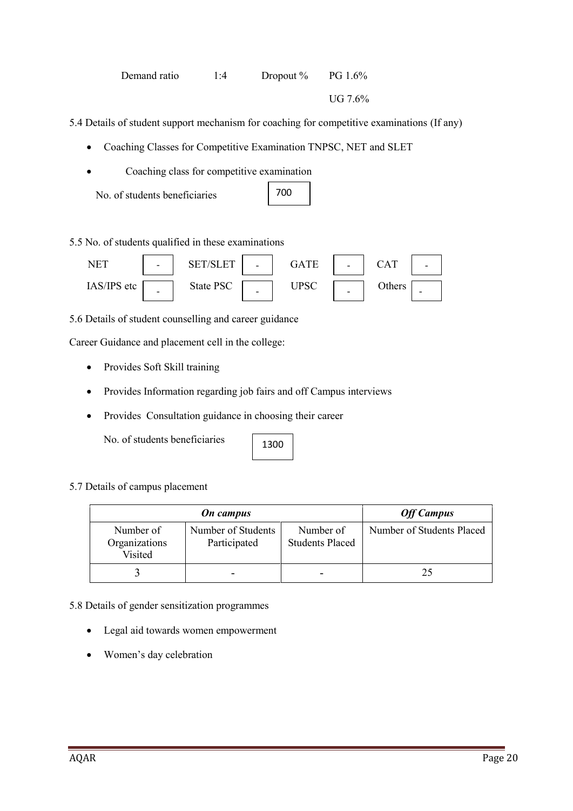#### Demand ratio 1:4 Dropout % PG 1.6%

UG 7.6%

5.4 Details of student support mechanism for coaching for competitive examinations (If any)

- Coaching Classes for Competitive Examination TNPSC, NET and SLET
- Coaching class for competitive examination
	- No. of students beneficiaries

| 7<br>0 |  |  |
|--------|--|--|
|        |  |  |

5.5 No. of students qualified in these examinations



5.6 Details of student counselling and career guidance

Career Guidance and placement cell in the college:

- Provides Soft Skill training
- Provides Information regarding job fairs and off Campus interviews
- Provides Consultation guidance in choosing their career

No. of students beneficiaries

1300

5.7 Details of campus placement

|                                       | <b>On</b> campus                   |                                     | <b>Off Campus</b>         |
|---------------------------------------|------------------------------------|-------------------------------------|---------------------------|
| Number of<br>Organizations<br>Visited | Number of Students<br>Participated | Number of<br><b>Students Placed</b> | Number of Students Placed |
|                                       |                                    |                                     | 25                        |

5.8 Details of gender sensitization programmes

- Legal aid towards women empowerment
- Women's day celebration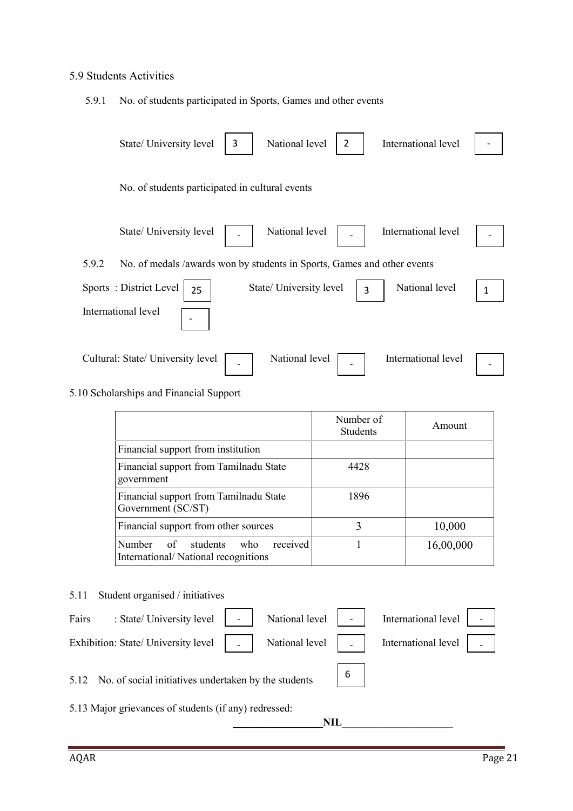### 5.9 Students Activities

5.9.1 No. of students participated in Sports, Games and other events

|       | State/ University level                                                 | 3 | National level          | 2 | International level |   |
|-------|-------------------------------------------------------------------------|---|-------------------------|---|---------------------|---|
|       | No. of students participated in cultural events                         |   |                         |   |                     |   |
|       | State/ University level                                                 |   | National level          |   | International level |   |
| 5.9.2 | No. of medals /awards won by students in Sports, Games and other events |   |                         |   |                     |   |
|       | Sports: District Level<br>25                                            |   | State/ University level | 3 | National level      | 1 |
|       | International level                                                     |   |                         |   |                     |   |
|       | Cultural: State/ University level                                       |   | National level          |   | International level |   |

### 5.10 Scholarships and Financial Support

|                                                                              | Number of<br><b>Students</b> | Amount    |
|------------------------------------------------------------------------------|------------------------------|-----------|
| Financial support from institution                                           |                              |           |
| Financial support from Tamilnadu State<br>government                         | 4428                         |           |
| Financial support from Tamilnadu State<br>Government (SC/ST)                 | 1896                         |           |
| Financial support from other sources                                         | 3                            | 10,000    |
| received<br>Number<br>of students who<br>International/National recognitions |                              | 16,00,000 |

#### 5.11 Student organised / initiatives

| : State/ University level<br>Fairs                        | National level $\ $ |   | International level |
|-----------------------------------------------------------|---------------------|---|---------------------|
| Exhibition: State/ University level                       | National level      |   | International level |
| 5.12 No. of social initiatives undertaken by the students |                     | 6 |                     |
| 5.13 Major grievances of students (if any) redressed:     |                     |   |                     |
|                                                           | NIL                 |   |                     |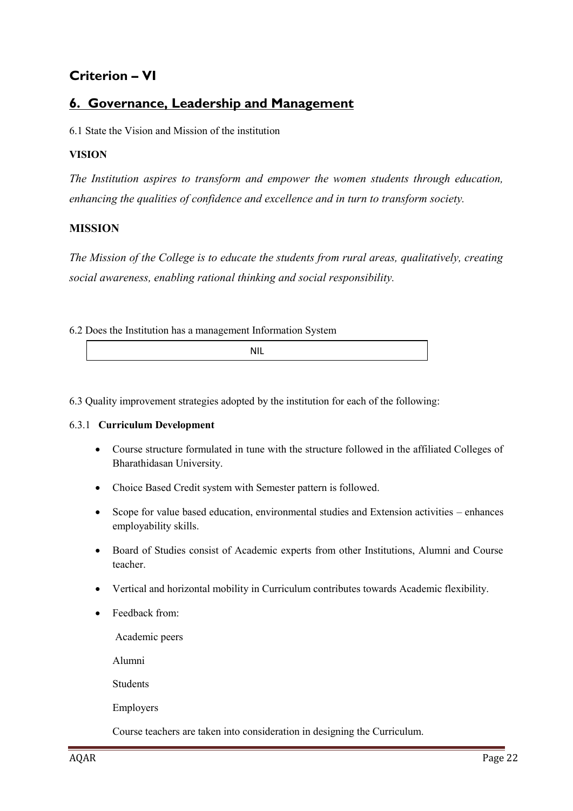## **Criterion – VI**

### **6. Governance, Leadership and Management**

6.1 State the Vision and Mission of the institution

#### **VISION**

*The Institution aspires to transform and empower the women students through education, enhancing the qualities of confidence and excellence and in turn to transform society.*

#### **MISSION**

*The Mission of the College is to educate the students from rural areas, qualitatively, creating social awareness, enabling rational thinking and social responsibility.*

6.2 Does the Institution has a management Information System

|  | $\cdot$ $\cdot$ $\cdot$ $\cdot$ |  |
|--|---------------------------------|--|
|--|---------------------------------|--|

6.3 Quality improvement strategies adopted by the institution for each of the following:

#### 6.3.1 **Curriculum Development**

- Course structure formulated in tune with the structure followed in the affiliated Colleges of Bharathidasan University.
- Choice Based Credit system with Semester pattern is followed.
- Scope for value based education, environmental studies and Extension activities enhances employability skills.
- Board of Studies consist of Academic experts from other Institutions, Alumni and Course teacher.
- Vertical and horizontal mobility in Curriculum contributes towards Academic flexibility.
- Feedback from:

Academic peers

Alumni

Students

Employers

Course teachers are taken into consideration in designing the Curriculum.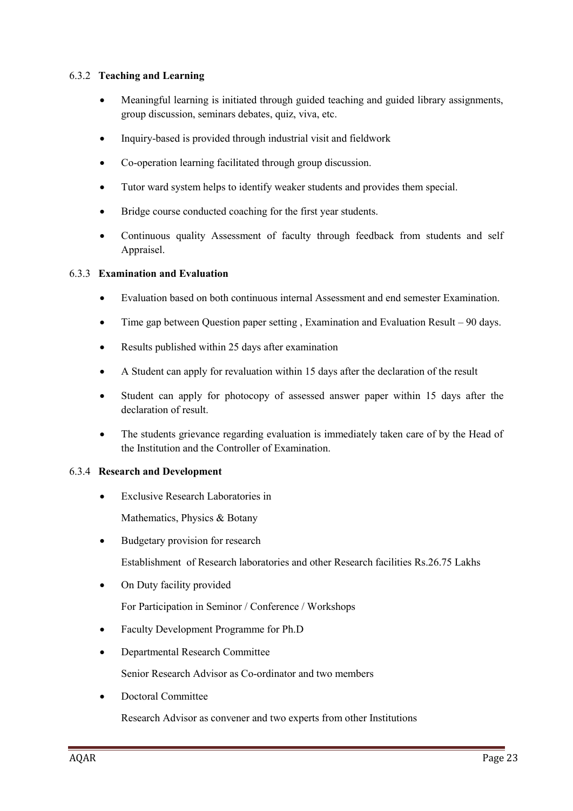#### 6.3.2 **Teaching and Learning**

- Meaningful learning is initiated through guided teaching and guided library assignments, group discussion, seminars debates, quiz, viva, etc.
- Inquiry-based is provided through industrial visit and fieldwork
- Co-operation learning facilitated through group discussion.
- Tutor ward system helps to identify weaker students and provides them special.
- Bridge course conducted coaching for the first year students.
- Continuous quality Assessment of faculty through feedback from students and self Appraisel.

#### 6.3.3 **Examination and Evaluation**

- Evaluation based on both continuous internal Assessment and end semester Examination.
- Time gap between Question paper setting , Examination and Evaluation Result 90 days.
- Results published within 25 days after examination
- A Student can apply for revaluation within 15 days after the declaration of the result
- Student can apply for photocopy of assessed answer paper within 15 days after the declaration of result.
- The students grievance regarding evaluation is immediately taken care of by the Head of the Institution and the Controller of Examination.

#### 6.3.4 **Research and Development**

- Exclusive Research Laboratories in
	- Mathematics, Physics & Botany
- Budgetary provision for research

Establishment of Research laboratories and other Research facilities Rs.26.75 Lakhs

On Duty facility provided

For Participation in Seminor / Conference / Workshops

- Faculty Development Programme for Ph.D
- Departmental Research Committee

Senior Research Advisor as Co-ordinator and two members

• Doctoral Committee

Research Advisor as convener and two experts from other Institutions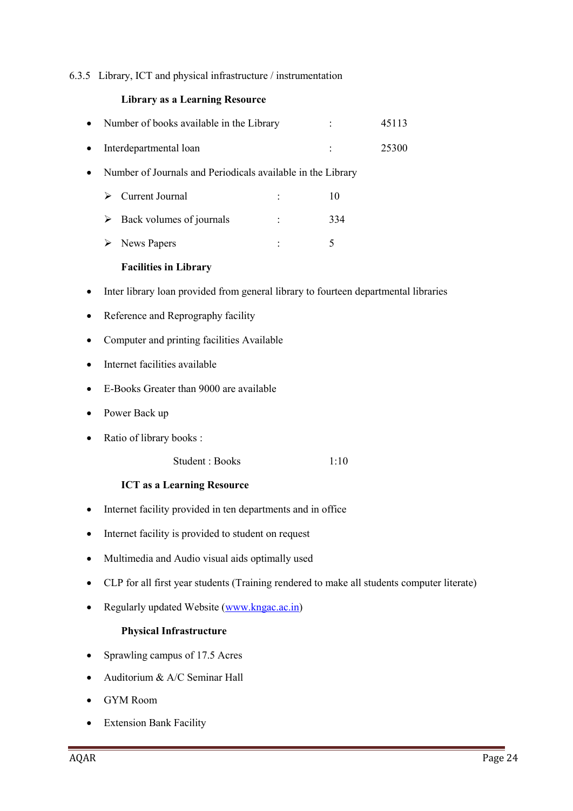#### 6.3.5 Library, ICT and physical infrastructure / instrumentation

#### **Library as a Learning Resource**

| Number of books available in the Library                                            |  |      | 45113 |  |  |  |
|-------------------------------------------------------------------------------------|--|------|-------|--|--|--|
| Interdepartmental loan                                                              |  |      | 25300 |  |  |  |
| Number of Journals and Periodicals available in the Library                         |  |      |       |  |  |  |
| Current Journal<br>➤                                                                |  | 10   |       |  |  |  |
| Back volumes of journals<br>➤                                                       |  | 334  |       |  |  |  |
| <b>News Papers</b><br>➤                                                             |  | 5    |       |  |  |  |
| <b>Facilities in Library</b>                                                        |  |      |       |  |  |  |
| Inter library loan provided from general library to fourteen departmental libraries |  |      |       |  |  |  |
| Reference and Reprography facility                                                  |  |      |       |  |  |  |
| Computer and printing facilities Available                                          |  |      |       |  |  |  |
| Internet facilities available                                                       |  |      |       |  |  |  |
| E-Books Greater than 9000 are available                                             |  |      |       |  |  |  |
| Power Back up                                                                       |  |      |       |  |  |  |
| Ratio of library books:                                                             |  |      |       |  |  |  |
| Student: Books                                                                      |  | 1:10 |       |  |  |  |
| <b>ICT as a Learning Resource</b>                                                   |  |      |       |  |  |  |
| Internet facility provided in ten departments and in office                         |  |      |       |  |  |  |

- Internet facility is provided to student on request
- Multimedia and Audio visual aids optimally used
- CLP for all first year students (Training rendered to make all students computer literate)
- Regularly updated Website (www.kngac.ac.in)

#### **Physical Infrastructure**

- Sprawling campus of 17.5 Acres
- Auditorium & A/C Seminar Hall
- GYM Room
- Extension Bank Facility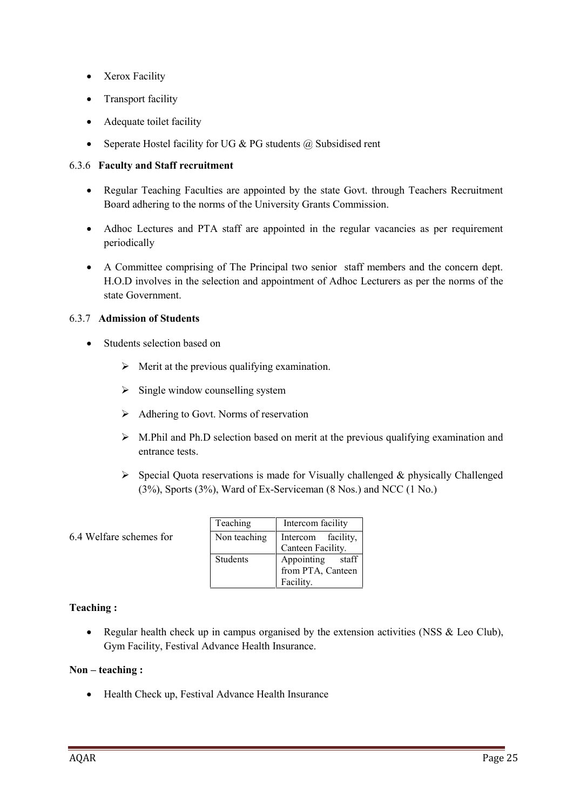- Xerox Facility
- Transport facility
- Adequate toilet facility
- Seperate Hostel facility for UG  $& PG$  students  $@$  Subsidised rent

#### 6.3.6 **Faculty and Staff recruitment**

- Regular Teaching Faculties are appointed by the state Govt. through Teachers Recruitment Board adhering to the norms of the University Grants Commission.
- Adhoc Lectures and PTA staff are appointed in the regular vacancies as per requirement periodically
- A Committee comprising of The Principal two senior staff members and the concern dept. H.O.D involves in the selection and appointment of Adhoc Lecturers as per the norms of the state Government.

#### 6.3.7 **Admission of Students**

- Students selection based on
	- $\triangleright$  Merit at the previous qualifying examination.
	- $\triangleright$  Single window counselling system
	- $\triangleright$  Adhering to Govt. Norms of reservation
	- $\triangleright$  M.Phil and Ph.D selection based on merit at the previous qualifying examination and entrance tests.
	- $\triangleright$  Special Quota reservations is made for Visually challenged & physically Challenged (3%), Sports (3%), Ward of Ex-Serviceman (8 Nos.) and NCC (1 No.)
- 6.4 Welfare schemes for

| Teaching        | Intercom facility   |
|-----------------|---------------------|
| Non teaching    | Intercom facility,  |
|                 | Canteen Facility.   |
| <b>Students</b> | Appointing<br>staff |
|                 | from PTA, Canteen   |
|                 | Facility.           |

#### **Teaching :**

• Regular health check up in campus organised by the extension activities (NSS & Leo Club), Gym Facility, Festival Advance Health Insurance.

#### **Non – teaching :**

• Health Check up, Festival Advance Health Insurance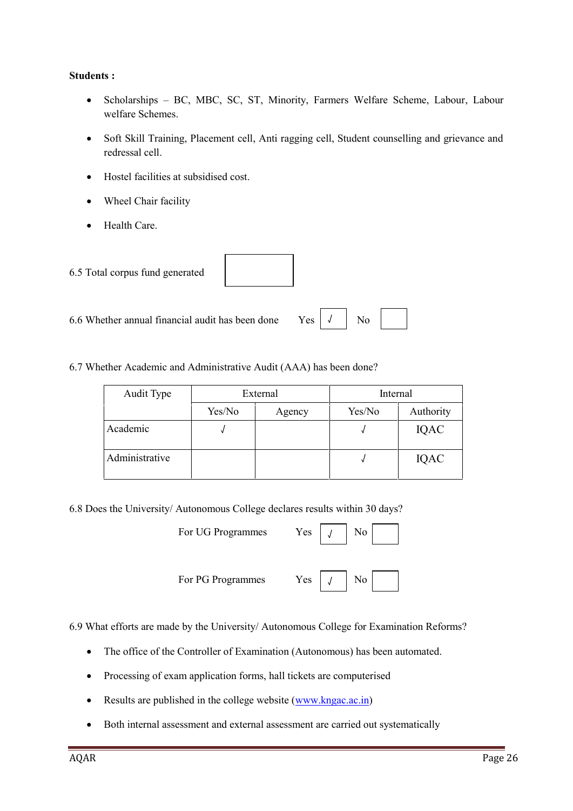#### **Students :**

- Scholarships BC, MBC, SC, ST, Minority, Farmers Welfare Scheme, Labour, Labour welfare Schemes.
- Soft Skill Training, Placement cell, Anti ragging cell, Student counselling and grievance and redressal cell.
- Hostel facilities at subsidised cost.
- Wheel Chair facility
- Health Care.

| 6.5 Total corpus fund generated                                              |  |  |
|------------------------------------------------------------------------------|--|--|
| 6.6 Whether annual financial audit has been done Yes $\vert \sqrt{\vert}$ No |  |  |

6.7 Whether Academic and Administrative Audit (AAA) has been done?

| Audit Type     | External |        | Internal |           |  |
|----------------|----------|--------|----------|-----------|--|
|                | Yes/No   | Agency | Yes/No   | Authority |  |
| Academic       |          |        |          | IQAC      |  |
| Administrative |          |        |          | IQAC      |  |

6.8 Does the University/ Autonomous College declares results within 30 days?

| For UG Programmes | N <sub>0</sub><br>$Yes \mid$ |  |
|-------------------|------------------------------|--|
| For PG Programmes | No<br>Yes                    |  |

6.9 What efforts are made by the University/ Autonomous College for Examination Reforms?

- The office of the Controller of Examination (Autonomous) has been automated.
- Processing of exam application forms, hall tickets are computerised
- Results are published in the college website  $(www.kngac.ac.in)$
- Both internal assessment and external assessment are carried out systematically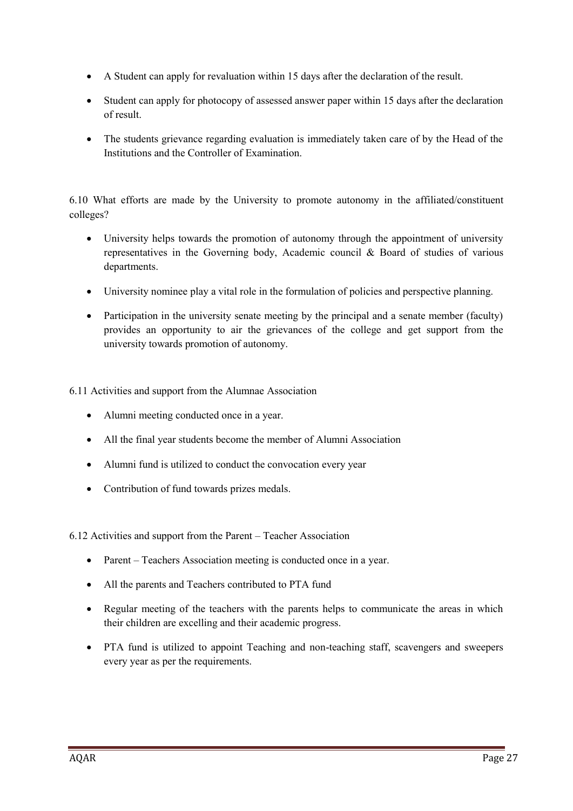- A Student can apply for revaluation within 15 days after the declaration of the result.
- Student can apply for photocopy of assessed answer paper within 15 days after the declaration of result.
- The students grievance regarding evaluation is immediately taken care of by the Head of the Institutions and the Controller of Examination.

6.10 What efforts are made by the University to promote autonomy in the affiliated/constituent colleges?

- University helps towards the promotion of autonomy through the appointment of university representatives in the Governing body, Academic council & Board of studies of various departments.
- University nominee play a vital role in the formulation of policies and perspective planning.
- Participation in the university senate meeting by the principal and a senate member (faculty) provides an opportunity to air the grievances of the college and get support from the university towards promotion of autonomy.

6.11 Activities and support from the Alumnae Association

- Alumni meeting conducted once in a year.
- All the final year students become the member of Alumni Association
- Alumni fund is utilized to conduct the convocation every year
- Contribution of fund towards prizes medals.

6.12 Activities and support from the Parent – Teacher Association

- Parent Teachers Association meeting is conducted once in a year.
- All the parents and Teachers contributed to PTA fund
- Regular meeting of the teachers with the parents helps to communicate the areas in which their children are excelling and their academic progress.
- PTA fund is utilized to appoint Teaching and non-teaching staff, scavengers and sweepers every year as per the requirements.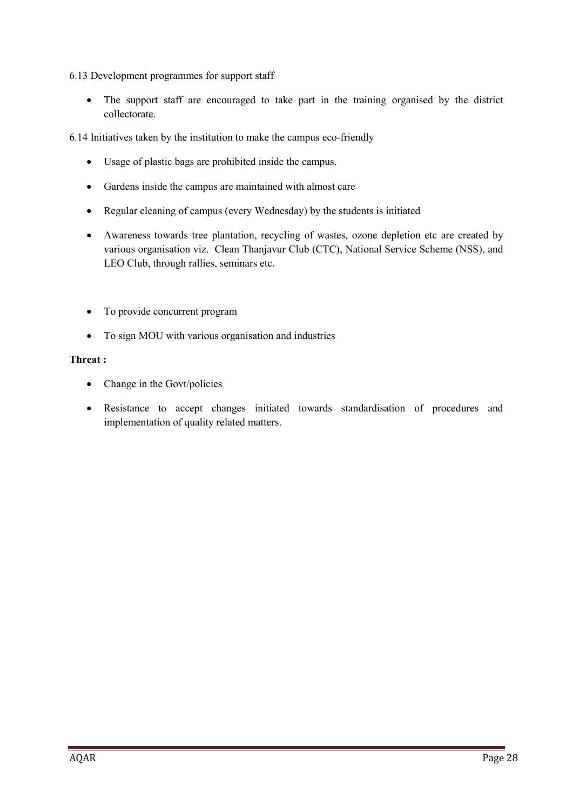6.13 Development programmes for support staff

• The support staff are encouraged to take part in the training organised by the district collectorate.

6.14 Initiatives taken by the institution to make the campus eco-friendly

- Usage of plastic bags are prohibited inside the campus.
- Gardens inside the campus are maintained with almost care
- Regular cleaning of campus (every Wednesday) by the students is initiated
- Awareness towards tree plantation, recycling of wastes, ozone depletion etc are created by various organisation viz. Clean Thanjavur Club (CTC), National Service Scheme (NSS), and LEO Club, through rallies, seminars etc.
- To provide concurrent program
- To sign MOU with various organisation and industries

#### **Threat :**

- Change in the Govt/policies
- Resistance to accept changes initiated towards standardisation of procedures and implementation of quality related matters.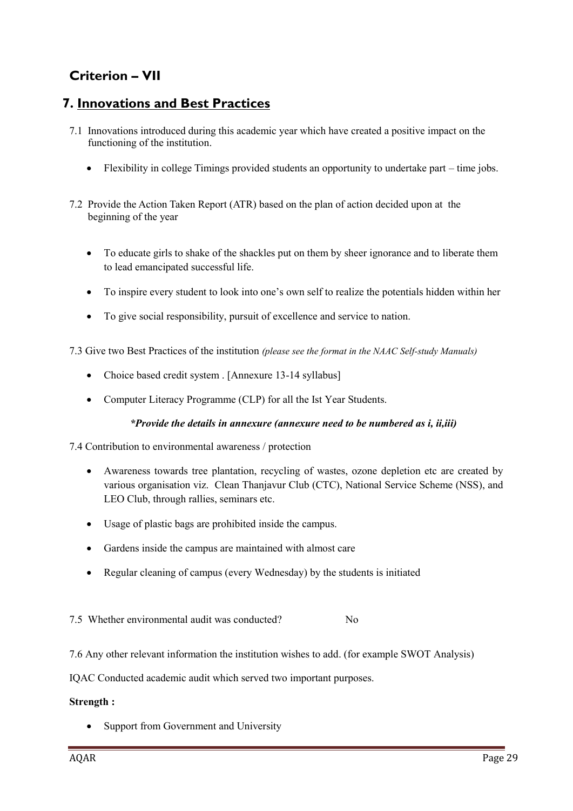## **Criterion – VII**

### **7. Innovations and Best Practices**

- 7.1 Innovations introduced during this academic year which have created a positive impact on the functioning of the institution.
	- Flexibility in college Timings provided students an opportunity to undertake part time jobs.
- 7.2 Provide the Action Taken Report (ATR) based on the plan of action decided upon at the beginning of the year
	- To educate girls to shake of the shackles put on them by sheer ignorance and to liberate them to lead emancipated successful life.
	- To inspire every student to look into one's own self to realize the potentials hidden within her
	- To give social responsibility, pursuit of excellence and service to nation.

7.3 Give two Best Practices of the institution *(please see the format in the NAAC Self-study Manuals)*

- Choice based credit system . [Annexure 13-14 syllabus]
- Computer Literacy Programme (CLP) for all the Ist Year Students.

#### *\*Provide the details in annexure (annexure need to be numbered as i, ii,iii)*

7.4 Contribution to environmental awareness / protection

- Awareness towards tree plantation, recycling of wastes, ozone depletion etc are created by various organisation viz. Clean Thanjavur Club (CTC), National Service Scheme (NSS), and LEO Club, through rallies, seminars etc.
- Usage of plastic bags are prohibited inside the campus.
- Gardens inside the campus are maintained with almost care
- Regular cleaning of campus (every Wednesday) by the students is initiated

7.5 Whether environmental audit was conducted? No

7.6 Any other relevant information the institution wishes to add. (for example SWOT Analysis)

IQAC Conducted academic audit which served two important purposes.

#### **Strength :**

• Support from Government and University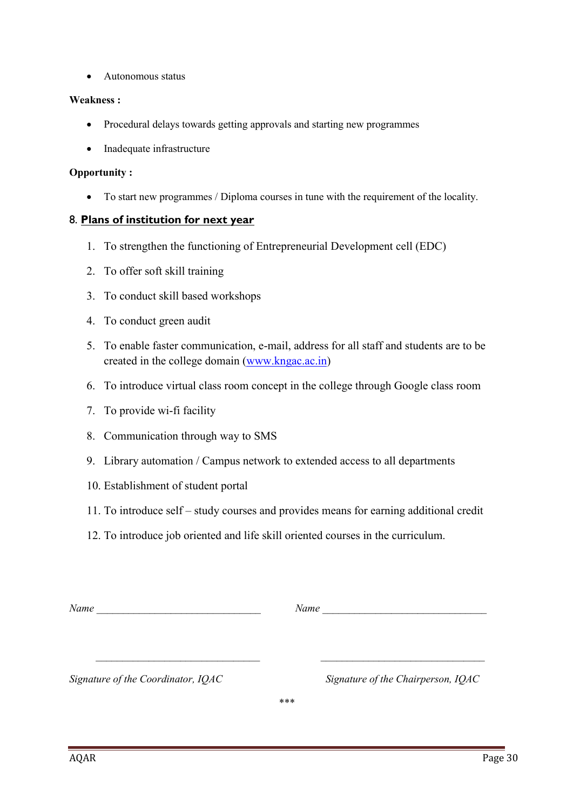Autonomous status

#### **Weakness :**

- Procedural delays towards getting approvals and starting new programmes
- Inadequate infrastructure

#### **Opportunity :**

To start new programmes / Diploma courses in tune with the requirement of the locality.

#### 8. **Plans of institution for next year**

- 1. To strengthen the functioning of Entrepreneurial Development cell (EDC)
- 2. To offer soft skill training
- 3. To conduct skill based workshops
- 4. To conduct green audit
- 5. To enable faster communication, e-mail, address for all staff and students are to be created in the college domain (www.kngac.ac.in)
- 6. To introduce virtual class room concept in the college through Google class room
- 7. To provide wi-fi facility
- 8. Communication through way to SMS
- 9. Library automation / Campus network to extended access to all departments
- 10. Establishment of student portal
- 11. To introduce self study courses and provides means for earning additional credit
- 12. To introduce job oriented and life skill oriented courses in the curriculum.

| Name                               | Name                               |  |
|------------------------------------|------------------------------------|--|
|                                    |                                    |  |
|                                    |                                    |  |
| Signature of the Coordinator, IQAC | Signature of the Chairperson, IQAC |  |

*\*\*\**